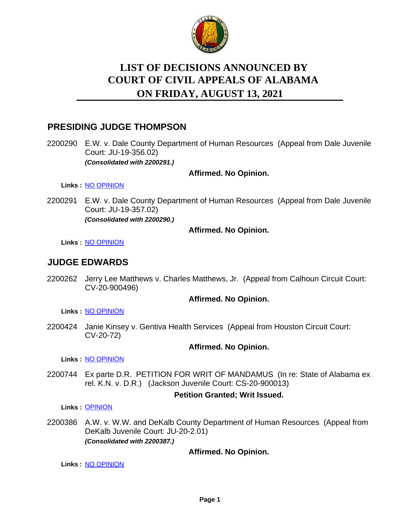

# **LIST OF DECISIONS ANNOUNCED BY ON FRIDAY, AUGUST 13, 2021 COURT OF CIVIL APPEALS OF ALABAMA**

### **PRESIDING JUDGE THOMPSON**

2200290 E.W. v. Dale County Department of Human Resources (Appeal from Dale Juvenile Court: JU-19-356.02) *(Consolidated with 2200291.)*

### **Affirmed. No Opinion.**

**Links :** [NO OPINION](https://acis.alabama.gov/displaydocs.cfm?no=1092155&event=64C0J8U1N)

2200291 E.W. v. Dale County Department of Human Resources (Appeal from Dale Juvenile Court: JU-19-357.02) *(Consolidated with 2200290.)*

### **Affirmed. No Opinion.**

**Links :** [NO OPINION](https://acis.alabama.gov/displaydocs.cfm?no=1092155&event=64C0J8U1N)

### **JUDGE EDWARDS**

2200262 Jerry Lee Matthews v. Charles Matthews, Jr. (Appeal from Calhoun Circuit Court: CV-20-900496)

### **Affirmed. No Opinion.**

**Links :** [NO OPINION](https://acis.alabama.gov/displaydocs.cfm?no=1092154&event=64C0J8TZ7)

2200424 Janie Kinsey v. Gentiva Health Services (Appeal from Houston Circuit Court: CV-20-72)

### **Affirmed. No Opinion.**

**Links :** [NO OPINION](https://acis.alabama.gov/displaydocs.cfm?no=1092157&event=64C0J8U95)

2200744 Ex parte D.R. PETITION FOR WRIT OF MANDAMUS (In re: State of Alabama ex rel. K.N. v. D.R.) (Jackson Juvenile Court: CS-20-900013)

### **Petition Granted; Writ Issued.**

**Links :** [OPINION](https://acis.alabama.gov/displaydocs.cfm?no=1092152&event=64C0J8TIL)

2200386 A.W. v. W.W. and DeKalb County Department of Human Resources (Appeal from DeKalb Juvenile Court: JU-20-2.01) *(Consolidated with 2200387.)*

### **Affirmed. No Opinion.**

**Links :** [NO OPINION](https://acis.alabama.gov/displaydocs.cfm?no=1092156&event=64C0J8U5H)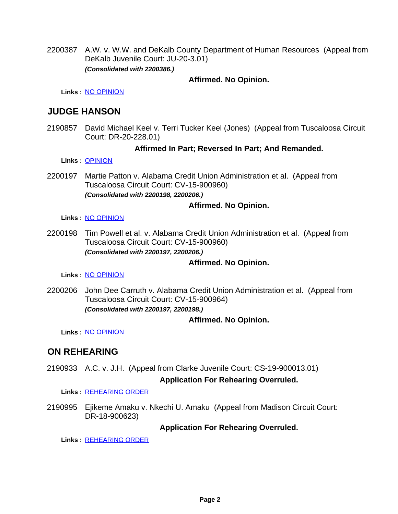2200387 A.W. v. W.W. and DeKalb County Department of Human Resources (Appeal from DeKalb Juvenile Court: JU-20-3.01) *(Consolidated with 2200386.)*

### **Affirmed. No Opinion.**

**Links :** [NO OPINION](https://acis.alabama.gov/displaydocs.cfm?no=1092156&event=64C0J8U5H)

### **JUDGE HANSON**

2190857 David Michael Keel v. Terri Tucker Keel (Jones) (Appeal from Tuscaloosa Circuit Court: DR-20-228.01)

### **Affirmed In Part; Reversed In Part; And Remanded.**

**Links :** [OPINION](https://acis.alabama.gov/displaydocs.cfm?no=1092151&event=64C0J8TFJ)

2200197 Martie Patton v. Alabama Credit Union Administration et al. (Appeal from Tuscaloosa Circuit Court: CV-15-900960) *(Consolidated with 2200198, 2200206.)*

### **Affirmed. No Opinion.**

**Links :** [NO OPINION](https://acis.alabama.gov/displaydocs.cfm?no=1092153&event=64C0J8TL5)

2200198 Tim Powell et al. v. Alabama Credit Union Administration et al. (Appeal from Tuscaloosa Circuit Court: CV-15-900960) *(Consolidated with 2200197, 2200206.)*

### **Affirmed. No Opinion.**

**Links :** [NO OPINION](https://acis.alabama.gov/displaydocs.cfm?no=1092153&event=64C0J8TL5)

2200206 John Dee Carruth v. Alabama Credit Union Administration et al. (Appeal from Tuscaloosa Circuit Court: CV-15-900964) *(Consolidated with 2200197, 2200198.)*

### **Affirmed. No Opinion.**

**Links :** [NO OPINION](https://acis.alabama.gov/displaydocs.cfm?no=1092153&event=64C0J8TL5)

### **ON REHEARING**

2190933 A.C. v. J.H. (Appeal from Clarke Juvenile Court: CS-19-900013.01)

### **Application For Rehearing Overruled.**

**Links :** [REHEARING ORDER](https://acis.alabama.gov/displaydocs.cfm?no=1092032&event=64B0NHKRS)

2190995 Ejikeme Amaku v. Nkechi U. Amaku (Appeal from Madison Circuit Court: DR-18-900623)

### **Application For Rehearing Overruled.**

**Links :** [REHEARING ORDER](https://acis.alabama.gov/displaydocs.cfm?no=1091707&event=6490XMCYD)